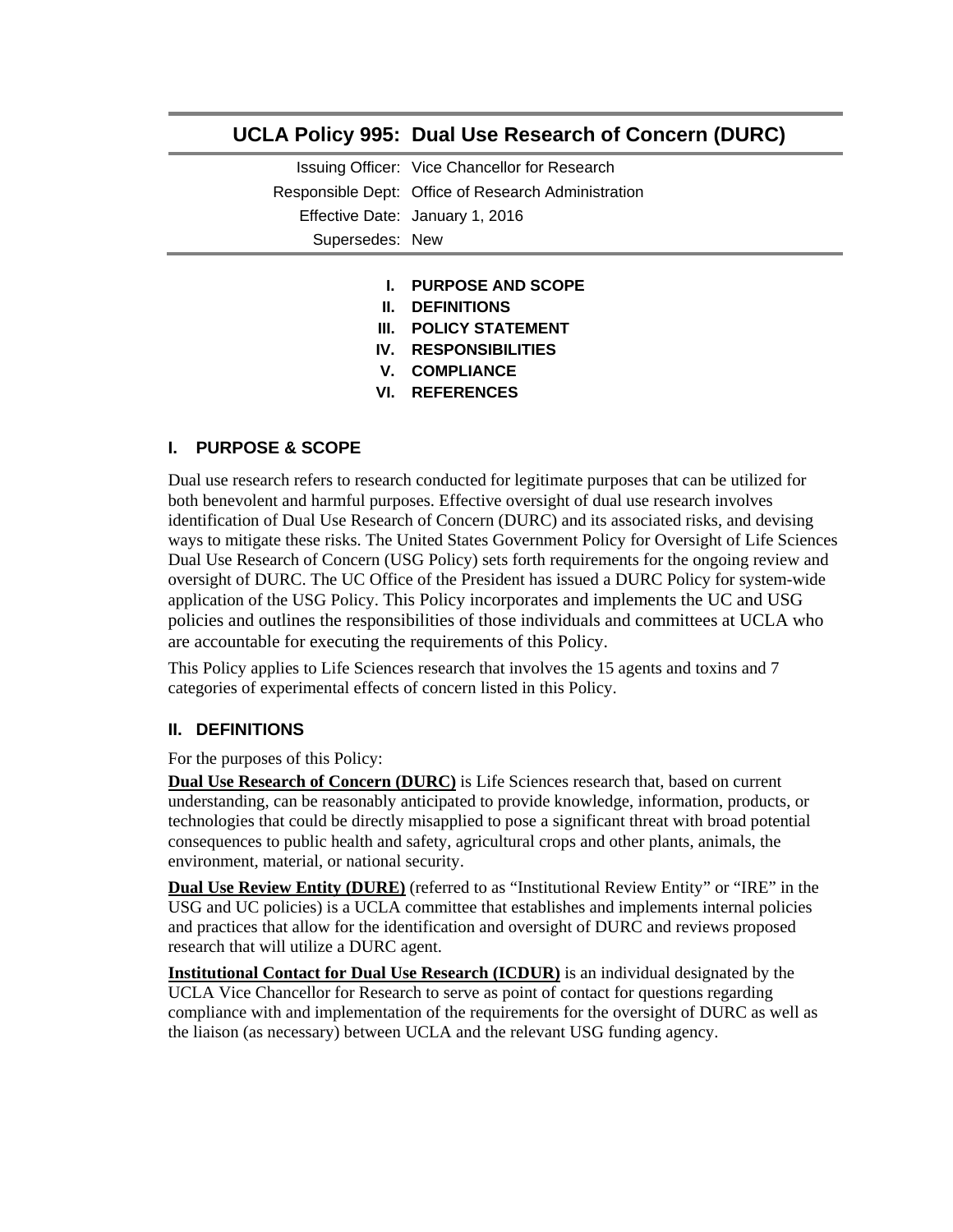# **UCLA Policy 995: Dual Use Research of Concern (DURC)**

Issuing Officer: Vice Chancellor for Research Responsible Dept: Office of Research Administration Effective Date: January 1, 2016 Supersedes: New

- **I. PURPOSE AND SCOPE**
- **II. DEFINITIONS**
- **III. POLICY STATEMENT**
- **IV. RESPONSIBILITIES**
- **V. COMPLIANCE**
- **VI. REFERENCES**

## **I. PURPOSE & SCOPE**

Dual use research refers to research conducted for legitimate purposes that can be utilized for both benevolent and harmful purposes. Effective oversight of dual use research involves identification of Dual Use Research of Concern (DURC) and its associated risks, and devising ways to mitigate these risks. The United States Government Policy for Oversight of Life Sciences Dual Use Research of Concern (USG Policy) sets forth requirements for the ongoing review and oversight of DURC. The UC Office of the President has issued a DURC Policy for system-wide application of the USG Policy. This Policy incorporates and implements the UC and USG policies and outlines the responsibilities of those individuals and committees at UCLA who are accountable for executing the requirements of this Policy.

This Policy applies to Life Sciences research that involves the 15 agents and toxins and 7 categories of experimental effects of concern listed in this Policy.

### **II. DEFINITIONS**

For the purposes of this Policy:

**Dual Use Research of Concern (DURC)** is Life Sciences research that, based on current understanding, can be reasonably anticipated to provide knowledge, information, products, or technologies that could be directly misapplied to pose a significant threat with broad potential consequences to public health and safety, agricultural crops and other plants, animals, the environment, material, or national security.

**Dual Use Review Entity (DURE)** (referred to as "Institutional Review Entity" or "IRE" in the USG and UC policies) is a UCLA committee that establishes and implements internal policies and practices that allow for the identification and oversight of DURC and reviews proposed research that will utilize a DURC agent.

**Institutional Contact for Dual Use Research (ICDUR)** is an individual designated by the UCLA Vice Chancellor for Research to serve as point of contact for questions regarding compliance with and implementation of the requirements for the oversight of DURC as well as the liaison (as necessary) between UCLA and the relevant USG funding agency.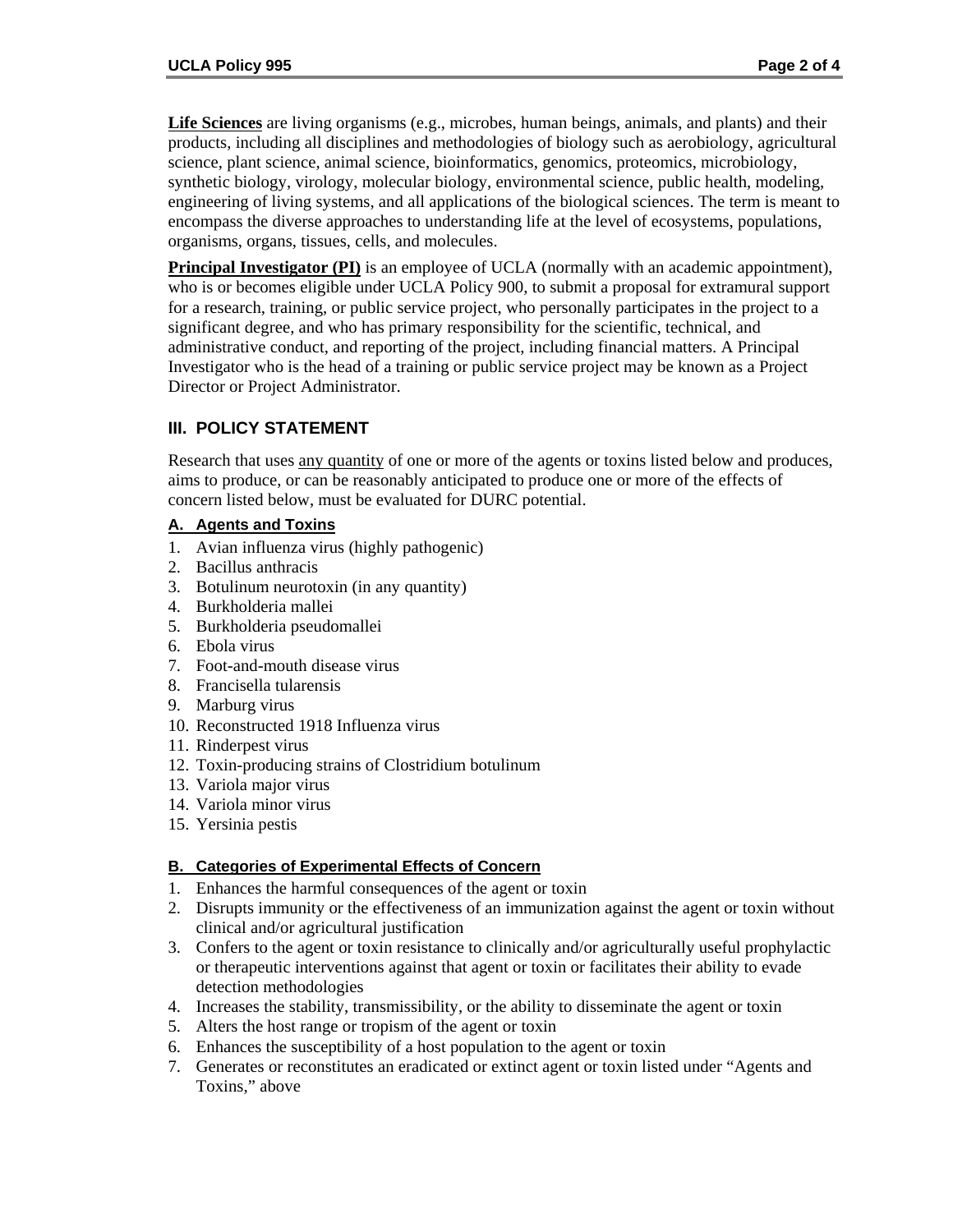**Life Sciences** are living organisms (e.g., microbes, human beings, animals, and plants) and their products, including all disciplines and methodologies of biology such as aerobiology, agricultural science, plant science, animal science, bioinformatics, genomics, proteomics, microbiology, synthetic biology, virology, molecular biology, environmental science, public health, modeling, engineering of living systems, and all applications of the biological sciences. The term is meant to encompass the diverse approaches to understanding life at the level of ecosystems, populations, organisms, organs, tissues, cells, and molecules.

**Principal Investigator (PI)** is an employee of UCLA (normally with an academic appointment), who is or becomes eligible under UCLA Policy 900, to submit a proposal for extramural support for a research, training, or public service project, who personally participates in the project to a significant degree, and who has primary responsibility for the scientific, technical, and administrative conduct, and reporting of the project, including financial matters. A Principal Investigator who is the head of a training or public service project may be known as a Project Director or Project Administrator.

## **III. POLICY STATEMENT**

Research that uses any quantity of one or more of the agents or toxins listed below and produces, aims to produce, or can be reasonably anticipated to produce one or more of the effects of concern listed below, must be evaluated for DURC potential.

### **A. Agents and Toxins**

- 1. Avian influenza virus (highly pathogenic)
- 2. Bacillus anthracis
- 3. Botulinum neurotoxin (in any quantity)
- 4. Burkholderia mallei
- 5. Burkholderia pseudomallei
- 6. Ebola virus
- 7. Foot-and-mouth disease virus
- 8. Francisella tularensis
- 9. Marburg virus
- 10. Reconstructed 1918 Influenza virus
- 11. Rinderpest virus
- 12. Toxin-producing strains of Clostridium botulinum
- 13. Variola major virus
- 14. Variola minor virus
- 15. Yersinia pestis

### **B. Categories of Experimental Effects of Concern**

- 1. Enhances the harmful consequences of the agent or toxin
- 2. Disrupts immunity or the effectiveness of an immunization against the agent or toxin without clinical and/or agricultural justification
- 3. Confers to the agent or toxin resistance to clinically and/or agriculturally useful prophylactic or therapeutic interventions against that agent or toxin or facilitates their ability to evade detection methodologies
- 4. Increases the stability, transmissibility, or the ability to disseminate the agent or toxin
- 5. Alters the host range or tropism of the agent or toxin
- 6. Enhances the susceptibility of a host population to the agent or toxin
- 7. Generates or reconstitutes an eradicated or extinct agent or toxin listed under "Agents and Toxins," above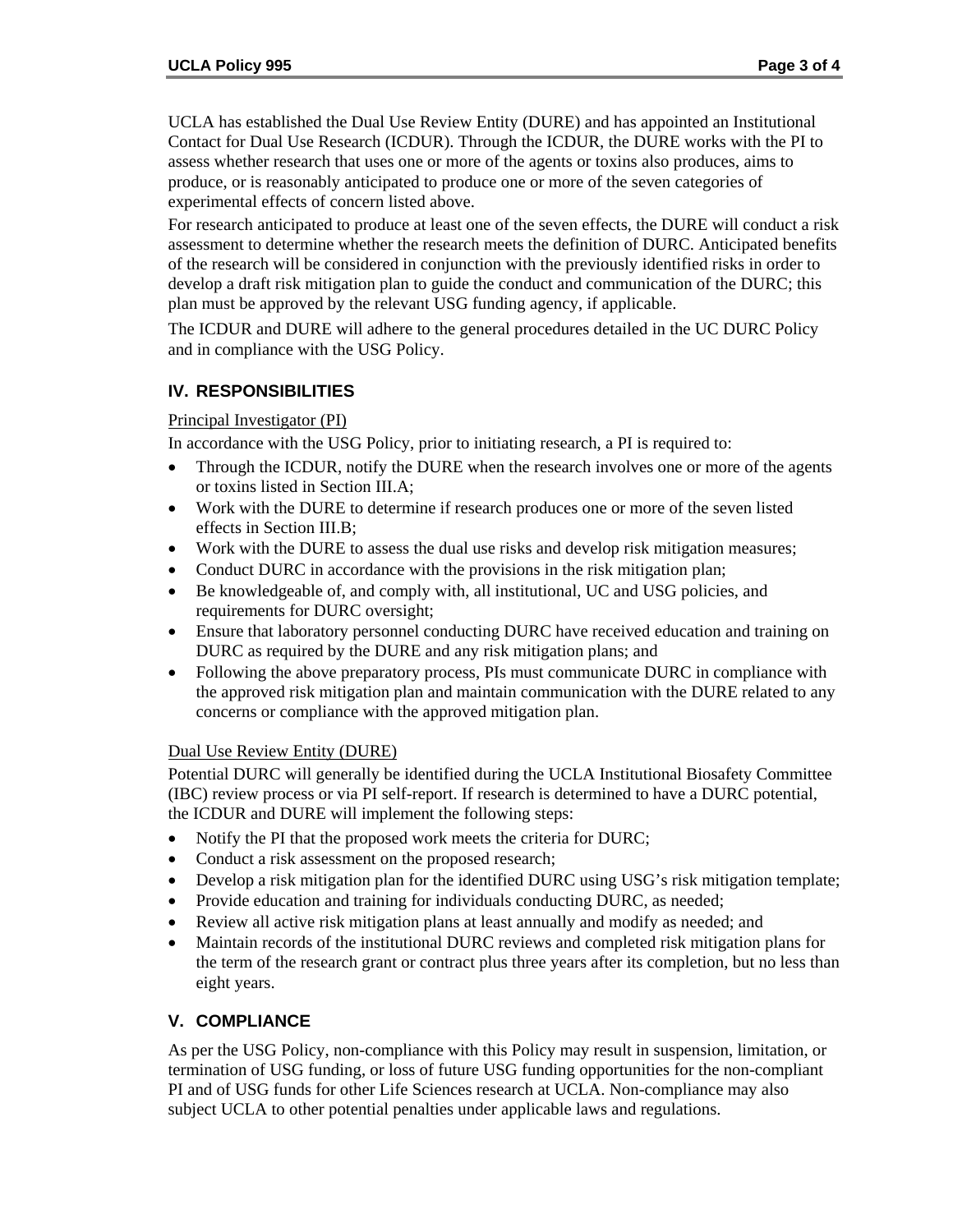UCLA has established the Dual Use Review Entity (DURE) and has appointed an Institutional Contact for Dual Use Research (ICDUR). Through the ICDUR, the DURE works with the PI to assess whether research that uses one or more of the agents or toxins also produces, aims to produce, or is reasonably anticipated to produce one or more of the seven categories of experimental effects of concern listed above.

For research anticipated to produce at least one of the seven effects, the DURE will conduct a risk assessment to determine whether the research meets the definition of DURC. Anticipated benefits of the research will be considered in conjunction with the previously identified risks in order to develop a draft risk mitigation plan to guide the conduct and communication of the DURC; this plan must be approved by the relevant USG funding agency, if applicable.

The ICDUR and DURE will adhere to the general procedures detailed in the UC DURC Policy and in compliance with the USG Policy.

### **IV. RESPONSIBILITIES**

#### Principal Investigator (PI)

In accordance with the USG Policy, prior to initiating research, a PI is required to:

- Through the ICDUR, notify the DURE when the research involves one or more of the agents or toxins listed in Section III.A;
- Work with the DURE to determine if research produces one or more of the seven listed effects in Section III.B;
- Work with the DURE to assess the dual use risks and develop risk mitigation measures;
- Conduct DURC in accordance with the provisions in the risk mitigation plan;
- Be knowledgeable of, and comply with, all institutional, UC and USG policies, and requirements for DURC oversight;
- Ensure that laboratory personnel conducting DURC have received education and training on DURC as required by the DURE and any risk mitigation plans; and
- Following the above preparatory process, PIs must communicate DURC in compliance with the approved risk mitigation plan and maintain communication with the DURE related to any concerns or compliance with the approved mitigation plan.

#### Dual Use Review Entity (DURE)

Potential DURC will generally be identified during the UCLA Institutional Biosafety Committee (IBC) review process or via PI self-report. If research is determined to have a DURC potential, the ICDUR and DURE will implement the following steps:

- Notify the PI that the proposed work meets the criteria for DURC;
- Conduct a risk assessment on the proposed research;
- Develop a risk mitigation plan for the identified DURC using USG's risk mitigation template;
- Provide education and training for individuals conducting DURC, as needed;
- Review all active risk mitigation plans at least annually and modify as needed; and
- Maintain records of the institutional DURC reviews and completed risk mitigation plans for the term of the research grant or contract plus three years after its completion, but no less than eight years.

### **V. COMPLIANCE**

As per the USG Policy, non-compliance with this Policy may result in suspension, limitation, or termination of USG funding, or loss of future USG funding opportunities for the non-compliant PI and of USG funds for other Life Sciences research at UCLA. Non-compliance may also subject UCLA to other potential penalties under applicable laws and regulations.